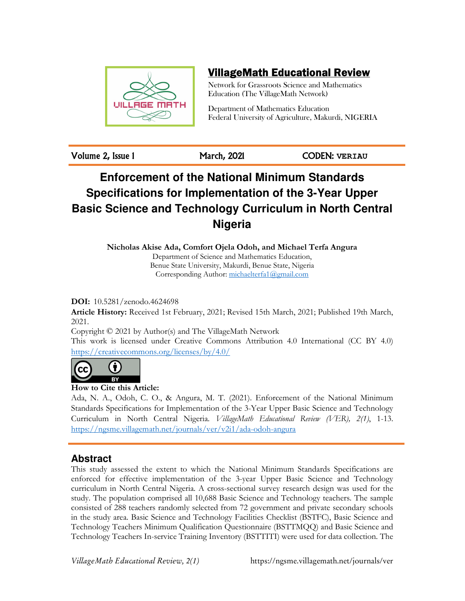

## VillageMath Educational Review

Network for Grassroots Science and Mathematics Education (The VillageMath Network)

Department of Mathematics Education Federal University of Agriculture, Makurdi, NIGERIA

Volume 2, Issue 1 March, 2021 CODEN: **VERIAU**

# **Enforcement of the National Minimum Standards Specifications for Implementation of the 3-Year Upper Basic Science and Technology Curriculum in North Central Nigeria**

**Nicholas Akise Ada, Comfort Ojela Odoh, and Michael Terfa Angura** 

Department of Science and Mathematics Education, Benue State University, Makurdi, Benue State, Nigeria Corresponding Author: michaelterfa1@gmail.com

**DOI:** 10.5281/zenodo.4624698

**Article History:** Received 1st February, 2021; Revised 15th March, 2021; Published 19th March, 2021.

Copyright © 2021 by Author(s) and The VillageMath Network

This work is licensed under Creative Commons Attribution 4.0 International (CC BY 4.0) https://creativecommons.org/licenses/by/4.0/



**How to Cite this Article:** 

Ada, N. A., Odoh, C. O., & Angura, M. T. (2021). Enforcement of the National Minimum Standards Specifications for Implementation of the 3-Year Upper Basic Science and Technology Curriculum in North Central Nigeria. *VillageMath Educational Review (VER), 2(1)*, 1-13. https://ngsme.villagemath.net/journals/ver/v2i1/ada-odoh-angura

## **Abstract**

This study assessed the extent to which the National Minimum Standards Specifications are enforced for effective implementation of the 3-year Upper Basic Science and Technology curriculum in North Central Nigeria. A cross-sectional survey research design was used for the study. The population comprised all 10,688 Basic Science and Technology teachers. The sample consisted of 288 teachers randomly selected from 72 government and private secondary schools in the study area. Basic Science and Technology Facilities Checklist (BSTFC), Basic Science and Technology Teachers Minimum Qualification Questionnaire (BSTTMQQ) and Basic Science and Technology Teachers In-service Training Inventory (BSTTITI) were used for data collection. The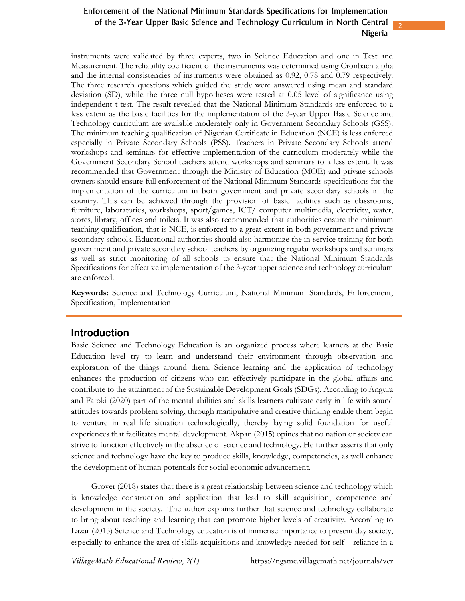2

instruments were validated by three experts, two in Science Education and one in Test and Measurement. The reliability coefficient of the instruments was determined using Cronbach alpha and the internal consistencies of instruments were obtained as 0.92, 0.78 and 0.79 respectively. The three research questions which guided the study were answered using mean and standard deviation (SD), while the three null hypotheses were tested at 0.05 level of significance using independent t-test. The result revealed that the National Minimum Standards are enforced to a less extent as the basic facilities for the implementation of the 3-year Upper Basic Science and Technology curriculum are available moderately only in Government Secondary Schools (GSS). The minimum teaching qualification of Nigerian Certificate in Education (NCE) is less enforced especially in Private Secondary Schools (PSS). Teachers in Private Secondary Schools attend workshops and seminars for effective implementation of the curriculum moderately while the Government Secondary School teachers attend workshops and seminars to a less extent. It was recommended that Government through the Ministry of Education (MOE) and private schools owners should ensure full enforcement of the National Minimum Standards specifications for the implementation of the curriculum in both government and private secondary schools in the country. This can be achieved through the provision of basic facilities such as classrooms, furniture, laboratories, workshops, sport/games, ICT/ computer multimedia, electricity, water, stores, library, offices and toilets. It was also recommended that authorities ensure the minimum teaching qualification, that is NCE, is enforced to a great extent in both government and private secondary schools. Educational authorities should also harmonize the in-service training for both government and private secondary school teachers by organizing regular workshops and seminars as well as strict monitoring of all schools to ensure that the National Minimum Standards Specifications for effective implementation of the 3-year upper science and technology curriculum are enforced.

**Keywords:** Science and Technology Curriculum, National Minimum Standards, Enforcement, Specification, Implementation

#### **Introduction**

Basic Science and Technology Education is an organized process where learners at the Basic Education level try to learn and understand their environment through observation and exploration of the things around them. Science learning and the application of technology enhances the production of citizens who can effectively participate in the global affairs and contribute to the attainment of the Sustainable Development Goals (SDGs). According to Angura and Fatoki (2020) part of the mental abilities and skills learners cultivate early in life with sound attitudes towards problem solving, through manipulative and creative thinking enable them begin to venture in real life situation technologically, thereby laying solid foundation for useful experiences that facilitates mental development. Akpan (2015) opines that no nation or society can strive to function effectively in the absence of science and technology. He further asserts that only science and technology have the key to produce skills, knowledge, competencies, as well enhance the development of human potentials for social economic advancement.

Grover (2018) states that there is a great relationship between science and technology which is knowledge construction and application that lead to skill acquisition, competence and development in the society. The author explains further that science and technology collaborate to bring about teaching and learning that can promote higher levels of creativity. According to Lazar (2015) Science and Technology education is of immense importance to present day society, especially to enhance the area of skills acquisitions and knowledge needed for self – reliance in a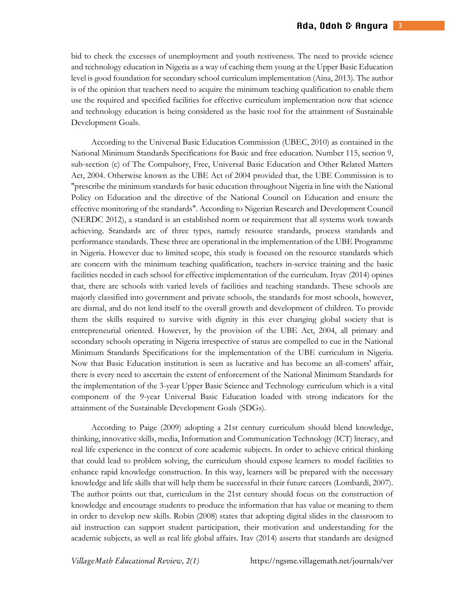bid to check the excesses of unemployment and youth restiveness. The need to provide science and technology education in Nigeria as a way of caching them young at the Upper Basic Education level is good foundation for secondary school curriculum implementation (Aina, 2013). The author is of the opinion that teachers need to acquire the minimum teaching qualification to enable them use the required and specified facilities for effective curriculum implementation now that science and technology education is being considered as the basic tool for the attainment of Sustainable Development Goals.

According to the Universal Basic Education Commission (UBEC, 2010) as contained in the National Minimum Standards Specifications for Basic and free education. Number 115, section 9, sub-section (c) of The Compulsory, Free, Universal Basic Education and Other Related Matters Act, 2004. Otherwise known as the UBE Act of 2004 provided that, the UBE Commission is to "prescribe the minimum standards for basic education throughout Nigeria in line with the National Policy on Education and the directive of the National Council on Education and ensure the effective monitoring of the standards". According to Nigerian Research and Development Council (NERDC 2012), a standard is an established norm or requirement that all systems work towards achieving. Standards are of three types, namely resource standards, process standards and performance standards. These three are operational in the implementation of the UBE Programme in Nigeria. However due to limited scope, this study is focused on the resource standards which are concern with the minimum teaching qualification, teachers in-service training and the basic facilities needed in each school for effective implementation of the curriculum. Ityav (2014) opines that, there are schools with varied levels of facilities and teaching standards. These schools are majorly classified into government and private schools, the standards for most schools, however, are dismal, and do not lend itself to the overall growth and development of children. To provide them the skills required to survive with dignity in this ever changing global society that is entrepreneurial oriented. However, by the provision of the UBE Act, 2004, all primary and secondary schools operating in Nigeria irrespective of status are compelled to cue in the National Minimum Standards Specifications for the implementation of the UBE curriculum in Nigeria. Now that Basic Education institution is seen as lucrative and has become an all-comers' affair, there is every need to ascertain the extent of enforcement of the National Minimum Standards for the implementation of the 3-year Upper Basic Science and Technology curriculum which is a vital component of the 9-year Universal Basic Education loaded with strong indicators for the attainment of the Sustainable Development Goals (SDGs).

According to Paige (2009) adopting a 21st century curriculum should blend knowledge, thinking, innovative skills, media, Information and Communication Technology (ICT) literacy, and real life experience in the context of core academic subjects. In order to achieve critical thinking that could lead to problem solving, the curriculum should expose learners to model facilities to enhance rapid knowledge construction. In this way, learners will be prepared with the necessary knowledge and life skills that will help them be successful in their future careers (Lombardi, 2007). The author points out that, curriculum in the 21st century should focus on the construction of knowledge and encourage students to produce the information that has value or meaning to them in order to develop new skills. Robin (2008) states that adopting digital slides in the classroom to aid instruction can support student participation, their motivation and understanding for the academic subjects, as well as real life global affairs. Itav (2014) asserts that standards are designed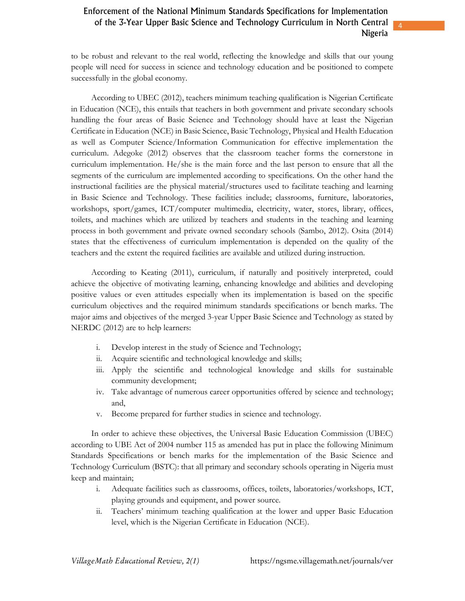4

to be robust and relevant to the real world, reflecting the knowledge and skills that our young people will need for success in science and technology education and be positioned to compete successfully in the global economy.

According to UBEC (2012), teachers minimum teaching qualification is Nigerian Certificate in Education (NCE), this entails that teachers in both government and private secondary schools handling the four areas of Basic Science and Technology should have at least the Nigerian Certificate in Education (NCE) in Basic Science, Basic Technology, Physical and Health Education as well as Computer Science/Information Communication for effective implementation the curriculum. Adegoke (2012) observes that the classroom teacher forms the cornerstone in curriculum implementation. He/she is the main force and the last person to ensure that all the segments of the curriculum are implemented according to specifications. On the other hand the instructional facilities are the physical material/structures used to facilitate teaching and learning in Basic Science and Technology. These facilities include; classrooms, furniture, laboratories, workshops, sport/games, ICT/computer multimedia, electricity, water, stores, library, offices, toilets, and machines which are utilized by teachers and students in the teaching and learning process in both government and private owned secondary schools (Sambo, 2012). Osita (2014) states that the effectiveness of curriculum implementation is depended on the quality of the teachers and the extent the required facilities are available and utilized during instruction.

According to Keating (2011), curriculum, if naturally and positively interpreted, could achieve the objective of motivating learning, enhancing knowledge and abilities and developing positive values or even attitudes especially when its implementation is based on the specific curriculum objectives and the required minimum standards specifications or bench marks. The major aims and objectives of the merged 3-year Upper Basic Science and Technology as stated by NERDC (2012) are to help learners:

- i. Develop interest in the study of Science and Technology;
- ii. Acquire scientific and technological knowledge and skills;
- iii. Apply the scientific and technological knowledge and skills for sustainable community development;
- iv. Take advantage of numerous career opportunities offered by science and technology; and,
- v. Become prepared for further studies in science and technology.

In order to achieve these objectives, the Universal Basic Education Commission (UBEC) according to UBE Act of 2004 number 115 as amended has put in place the following Minimum Standards Specifications or bench marks for the implementation of the Basic Science and Technology Curriculum (BSTC): that all primary and secondary schools operating in Nigeria must keep and maintain;

- i. Adequate facilities such as classrooms, offices, toilets, laboratories/workshops, ICT, playing grounds and equipment, and power source.
- ii. Teachers' minimum teaching qualification at the lower and upper Basic Education level, which is the Nigerian Certificate in Education (NCE).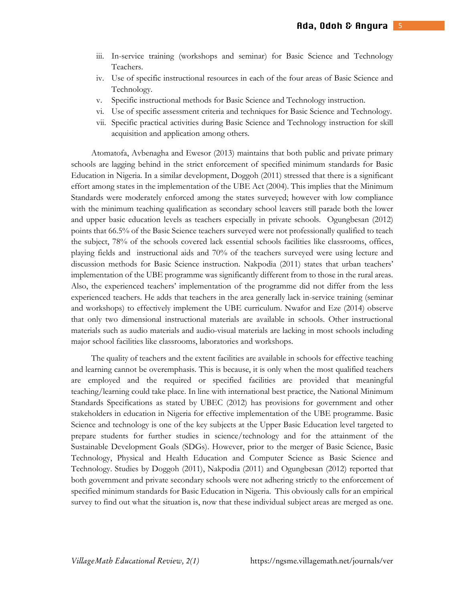- iii. In-service training (workshops and seminar) for Basic Science and Technology Teachers.
- iv. Use of specific instructional resources in each of the four areas of Basic Science and Technology.
- v. Specific instructional methods for Basic Science and Technology instruction.
- vi. Use of specific assessment criteria and techniques for Basic Science and Technology.
- vii. Specific practical activities during Basic Science and Technology instruction for skill acquisition and application among others.

Atomatofa, Avbenagha and Ewesor (2013) maintains that both public and private primary schools are lagging behind in the strict enforcement of specified minimum standards for Basic Education in Nigeria. In a similar development, Doggoh (2011) stressed that there is a significant effort among states in the implementation of the UBE Act (2004). This implies that the Minimum Standards were moderately enforced among the states surveyed; however with low compliance with the minimum teaching qualification as secondary school leavers still parade both the lower and upper basic education levels as teachers especially in private schools. Ogungbesan (2012) points that 66.5% of the Basic Science teachers surveyed were not professionally qualified to teach the subject, 78% of the schools covered lack essential schools facilities like classrooms, offices, playing fields and instructional aids and 70% of the teachers surveyed were using lecture and discussion methods for Basic Science instruction. Nakpodia (2011) states that urban teachers' implementation of the UBE programme was significantly different from to those in the rural areas. Also, the experienced teachers' implementation of the programme did not differ from the less experienced teachers. He adds that teachers in the area generally lack in-service training (seminar and workshops) to effectively implement the UBE curriculum. Nwafor and Eze (2014) observe that only two dimensional instructional materials are available in schools. Other instructional materials such as audio materials and audio-visual materials are lacking in most schools including major school facilities like classrooms, laboratories and workshops.

The quality of teachers and the extent facilities are available in schools for effective teaching and learning cannot be overemphasis. This is because, it is only when the most qualified teachers are employed and the required or specified facilities are provided that meaningful teaching/learning could take place. In line with international best practice, the National Minimum Standards Specifications as stated by UBEC (2012) has provisions for government and other stakeholders in education in Nigeria for effective implementation of the UBE programme. Basic Science and technology is one of the key subjects at the Upper Basic Education level targeted to prepare students for further studies in science/technology and for the attainment of the Sustainable Development Goals (SDGs). However, prior to the merger of Basic Science, Basic Technology, Physical and Health Education and Computer Science as Basic Science and Technology. Studies by Doggoh (2011), Nakpodia (2011) and Ogungbesan (2012) reported that both government and private secondary schools were not adhering strictly to the enforcement of specified minimum standards for Basic Education in Nigeria. This obviously calls for an empirical survey to find out what the situation is, now that these individual subject areas are merged as one.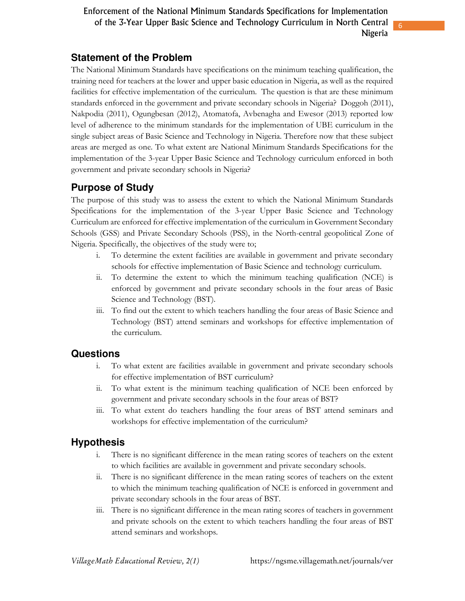## **Statement of the Problem**

The National Minimum Standards have specifications on the minimum teaching qualification, the training need for teachers at the lower and upper basic education in Nigeria, as well as the required facilities for effective implementation of the curriculum. The question is that are these minimum standards enforced in the government and private secondary schools in Nigeria? Doggoh (2011), Nakpodia (2011), Ogungbesan (2012), Atomatofa, Avbenagha and Ewesor (2013) reported low level of adherence to the minimum standards for the implementation of UBE curriculum in the single subject areas of Basic Science and Technology in Nigeria. Therefore now that these subject areas are merged as one. To what extent are National Minimum Standards Specifications for the implementation of the 3-year Upper Basic Science and Technology curriculum enforced in both government and private secondary schools in Nigeria?

## **Purpose of Study**

The purpose of this study was to assess the extent to which the National Minimum Standards Specifications for the implementation of the 3-year Upper Basic Science and Technology Curriculum are enforced for effective implementation of the curriculum in Government Secondary Schools (GSS) and Private Secondary Schools (PSS), in the North-central geopolitical Zone of Nigeria. Specifically, the objectives of the study were to;

- i. To determine the extent facilities are available in government and private secondary schools for effective implementation of Basic Science and technology curriculum.
- ii. To determine the extent to which the minimum teaching qualification (NCE) is enforced by government and private secondary schools in the four areas of Basic Science and Technology (BST).
- iii. To find out the extent to which teachers handling the four areas of Basic Science and Technology (BST) attend seminars and workshops for effective implementation of the curriculum.

## **Questions**

- i. To what extent are facilities available in government and private secondary schools for effective implementation of BST curriculum?
- ii. To what extent is the minimum teaching qualification of NCE been enforced by government and private secondary schools in the four areas of BST?
- iii. To what extent do teachers handling the four areas of BST attend seminars and workshops for effective implementation of the curriculum?

## **Hypothesis**

- i. There is no significant difference in the mean rating scores of teachers on the extent to which facilities are available in government and private secondary schools.
- ii. There is no significant difference in the mean rating scores of teachers on the extent to which the minimum teaching qualification of NCE is enforced in government and private secondary schools in the four areas of BST.
- iii. There is no significant difference in the mean rating scores of teachers in government and private schools on the extent to which teachers handling the four areas of BST attend seminars and workshops.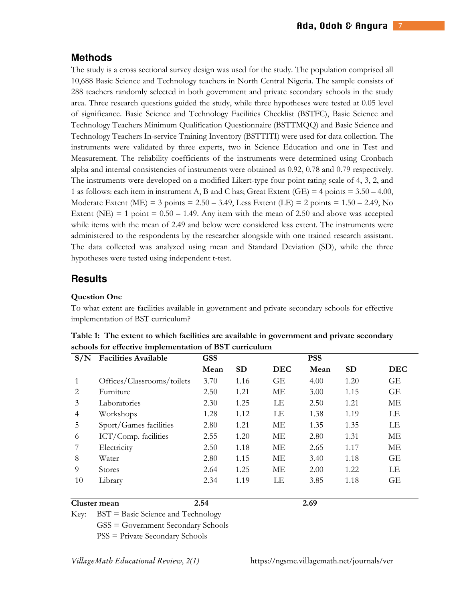## **Methods**

The study is a cross sectional survey design was used for the study. The population comprised all 10,688 Basic Science and Technology teachers in North Central Nigeria. The sample consists of 288 teachers randomly selected in both government and private secondary schools in the study area. Three research questions guided the study, while three hypotheses were tested at 0.05 level of significance. Basic Science and Technology Facilities Checklist (BSTFC), Basic Science and Technology Teachers Minimum Qualification Questionnaire (BSTTMQQ) and Basic Science and Technology Teachers In-service Training Inventory (BSTTITI) were used for data collection. The instruments were validated by three experts, two in Science Education and one in Test and Measurement. The reliability coefficients of the instruments were determined using Cronbach alpha and internal consistencies of instruments were obtained as 0.92, 0.78 and 0.79 respectively. The instruments were developed on a modified Likert-type four point rating scale of 4, 3, 2, and 1 as follows: each item in instrument A, B and C has; Great Extent  $(GE) = 4$  points = 3.50 – 4.00, Moderate Extent (ME) = 3 points =  $2.50 - 3.49$ , Less Extent (LE) = 2 points =  $1.50 - 2.49$ , No Extent (NE) = 1 point =  $0.50 - 1.49$ . Any item with the mean of 2.50 and above was accepted while items with the mean of 2.49 and below were considered less extent. The instruments were administered to the respondents by the researcher alongside with one trained research assistant. The data collected was analyzed using mean and Standard Deviation (SD), while the three hypotheses were tested using independent t-test.

## **Results**

#### **Question One**

To what extent are facilities available in government and private secondary schools for effective implementation of BST curriculum?

| S/N                           | <b>Facilities Available</b> | <b>GSS</b> |           |            | <b>PSS</b> |           |            |  |
|-------------------------------|-----------------------------|------------|-----------|------------|------------|-----------|------------|--|
|                               |                             | Mean       | <b>SD</b> | <b>DEC</b> | Mean       | <b>SD</b> | <b>DEC</b> |  |
|                               | Offices/Classrooms/toilets  | 3.70       | 1.16      | GE         | 4.00       | 1.20      | GE         |  |
| $\mathfrak{D}_{\mathfrak{p}}$ | Furniture                   | 2.50       | 1.21      | МE         | 3.00       | 1.15      | GE         |  |
| 3                             | Laboratories                | 2.30       | 1.25      | LE         | 2.50       | 1.21      | МE         |  |
| 4                             | Workshops                   | 1.28       | 1.12      | LE         | 1.38       | 1.19      | LE         |  |
| 5                             | Sport/Games facilities      | 2.80       | 1.21      | МE         | 1.35       | 1.35      | LE         |  |
| 6                             | ICT/Comp. facilities        | 2.55       | 1.20      | МE         | 2.80       | 1.31      | МE         |  |
|                               | Electricity                 | 2.50       | 1.18      | МE         | 2.65       | 1.17      | МE         |  |
| 8                             | Water                       | 2.80       | 1.15      | МE         | 3.40       | 1.18      | GE         |  |
| 9                             | <b>Stores</b>               | 2.64       | 1.25      | ME         | 2.00       | 1.22      | LE         |  |
| 10                            | Library                     | 2.34       | 1.19      | LE         | 3.85       | 1.18      | GE         |  |

**Table 1: The extent to which facilities are available in government and private secondary schools for effective implementation of BST curriculum** 

#### **Cluster mean 2.54 2.69**

Key: BST = Basic Science and Technology

GSS = Government Secondary Schools

PSS = Private Secondary Schools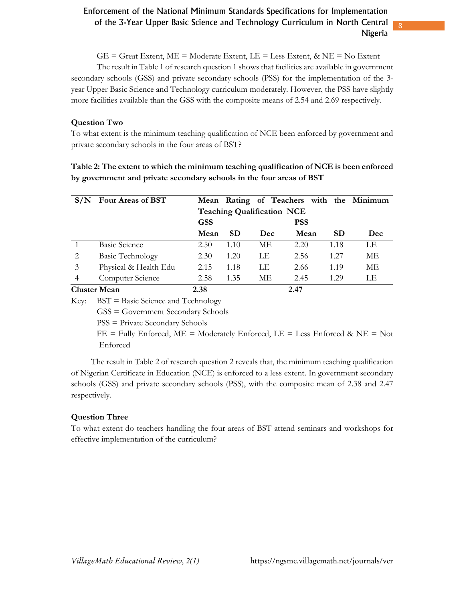8

 $GE =$  Great Extent,  $ME =$  Moderate Extent,  $LE =$  Less Extent,  $\&$  NE = No Extent

The result in Table 1 of research question 1 shows that facilities are available in government secondary schools (GSS) and private secondary schools (PSS) for the implementation of the 3 year Upper Basic Science and Technology curriculum moderately. However, the PSS have slightly more facilities available than the GSS with the composite means of 2.54 and 2.69 respectively.

#### **Question Two**

To what extent is the minimum teaching qualification of NCE been enforced by government and private secondary schools in the four areas of BST?

| Table 2: The extent to which the minimum teaching qualification of NCE is been enforced |  |
|-----------------------------------------------------------------------------------------|--|
| by government and private secondary schools in the four areas of BST                    |  |

|   | Four Areas of BST       |            |                                   |            | Mean Rating of Teachers with the Minimum |           |     |  |
|---|-------------------------|------------|-----------------------------------|------------|------------------------------------------|-----------|-----|--|
|   |                         |            | <b>Teaching Qualification NCE</b> |            |                                          |           |     |  |
|   |                         | <b>GSS</b> |                                   |            | <b>PSS</b>                               |           |     |  |
|   |                         | Mean       | <b>SD</b>                         | <b>Dec</b> | Mean                                     | <b>SD</b> | Dec |  |
|   | <b>Basic Science</b>    | 2.50       | 1.10                              | МE         | 2.20                                     | 1.18      | LE  |  |
| 2 | <b>Basic Technology</b> | 2.30       | 1.20                              | LE         | 2.56                                     | 1.27      | МE  |  |
| 3 | Physical & Health Edu   | 2.15       | 1.18                              | LE         | 2.66                                     | 1.19      | МE  |  |
| 4 | Computer Science        | 2.58       | 1.35                              | МE         | 2.45                                     | 1.29      | LE  |  |
|   | <b>Cluster Mean</b>     | 2.38       |                                   |            | 2.47                                     |           |     |  |

Key: BST = Basic Science and Technology

GSS = Government Secondary Schools

PSS = Private Secondary Schools

 $FE = Fully Entored, ME = Moderned, LE = Less Entored & NE = Not$ Enforced

The result in Table 2 of research question 2 reveals that, the minimum teaching qualification of Nigerian Certificate in Education (NCE) is enforced to a less extent. In government secondary schools (GSS) and private secondary schools (PSS), with the composite mean of 2.38 and 2.47 respectively.

#### **Question Three**

To what extent do teachers handling the four areas of BST attend seminars and workshops for effective implementation of the curriculum?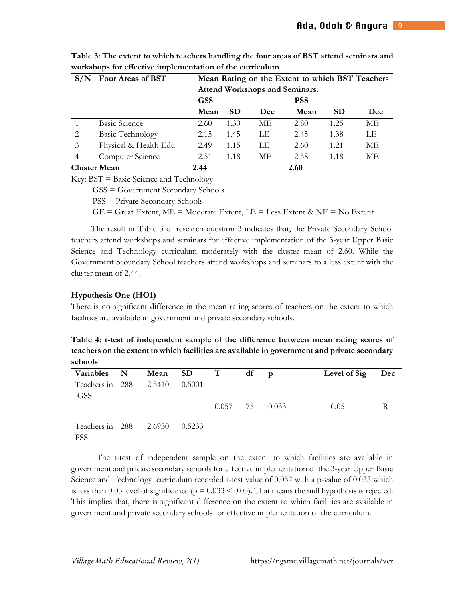|                | Four Areas of BST       | Mean Rating on the Extent to which BST Teachers |                                |     |      |           |     |  |  |
|----------------|-------------------------|-------------------------------------------------|--------------------------------|-----|------|-----------|-----|--|--|
|                |                         |                                                 | Attend Workshops and Seminars. |     |      |           |     |  |  |
|                |                         | <b>GSS</b>                                      |                                |     |      |           |     |  |  |
|                |                         | Mean                                            | <b>SD</b>                      | Dec | Mean | <b>SD</b> | Dec |  |  |
|                | <b>Basic Science</b>    | 2.60                                            | 1.30                           | ME. | 2.80 | 1.25      | МE  |  |  |
| 2              | <b>Basic Technology</b> | 2.15                                            | 1.45                           | LE  | 2.45 | 1.38      | LE  |  |  |
| 3              | Physical & Health Edu   | 2.49                                            | 1.15                           | LE  | 2.60 | 1.21      | МE  |  |  |
| $\overline{4}$ | Computer Science        | 2.51                                            | 1.18                           | МE  | 2.58 | 1.18      | МE  |  |  |
|                | <b>Cluster Mean</b>     | 2.44                                            |                                |     | 2.60 |           |     |  |  |

**Table 3: The extent to which teachers handling the four areas of BST attend seminars and workshops for effective implementation of the curriculum**

Key: BST = Basic Science and Technology

GSS = Government Secondary Schools

PSS = Private Secondary Schools

GE = Great Extent, ME = Moderate Extent, LE = Less Extent & NE = No Extent

The result in Table 3 of research question 3 indicates that, the Private Secondary School teachers attend workshops and seminars for effective implementation of the 3-year Upper Basic Science and Technology curriculum moderately with the cluster mean of 2.60. While the Government Secondary School teachers attend workshops and seminars to a less extent with the cluster mean of 2.44.

#### **Hypothesis One (HO1)**

There is no significant difference in the mean rating scores of teachers on the extent to which facilities are available in government and private secondary schools.

**Table 4: t-test of independent sample of the difference between mean rating scores of teachers on the extent to which facilities are available in government and private secondary schools** 

| Variables N                          | Mean SD |        | $\mathbf{T}$ | df | D     | Level of Sig | Dec |
|--------------------------------------|---------|--------|--------------|----|-------|--------------|-----|
| Teachers in 288 2.5410<br><b>GSS</b> |         | 0.5001 |              |    |       |              |     |
|                                      |         |        | $0.057$ 75   |    | 0.033 | 0.05         | R   |
| Teachers in 288 2.6930<br><b>PSS</b> |         | 0.5233 |              |    |       |              |     |

 The t-test of independent sample on the extent to which facilities are available in government and private secondary schools for effective implementation of the 3-year Upper Basic Science and Technology curriculum recorded t-test value of 0.057 with a p-value of 0.033 which is less than 0.05 level of significance ( $p = 0.033 \le 0.05$ ). That means the null hypothesis is rejected. This implies that, there is significant difference on the extent to which facilities are available in government and private secondary schools for effective implementation of the curriculum.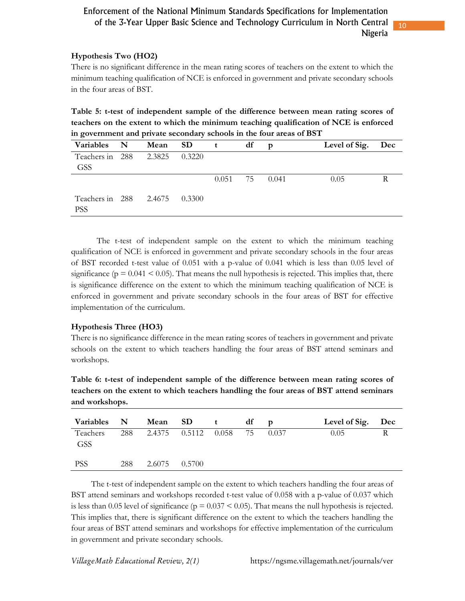10

#### **Hypothesis Two (HO2)**

There is no significant difference in the mean rating scores of teachers on the extent to which the minimum teaching qualification of NCE is enforced in government and private secondary schools in the four areas of BST.

**Table 5: t-test of independent sample of the difference between mean rating scores of teachers on the extent to which the minimum teaching qualification of NCE is enforced in government and private secondary schools in the four areas of BST** 

| Variables N                                 | Mean SD | $\mathbf{t}$ |            | df | D     | Level of Sig. Dec |  |
|---------------------------------------------|---------|--------------|------------|----|-------|-------------------|--|
| Teachers in 288 2.3825                      |         | 0.3220       |            |    |       |                   |  |
| <b>GSS</b>                                  |         |              |            |    |       |                   |  |
|                                             |         |              | $0.051$ 75 |    | 0.041 | 0.05              |  |
| Teachers in 288 2.4675 0.3300<br><b>PSS</b> |         |              |            |    |       |                   |  |

 The t-test of independent sample on the extent to which the minimum teaching qualification of NCE is enforced in government and private secondary schools in the four areas of BST recorded t-test value of 0.051 with a p-value of 0.041 which is less than 0.05 level of significance ( $p = 0.041 \le 0.05$ ). That means the null hypothesis is rejected. This implies that, there is significance difference on the extent to which the minimum teaching qualification of NCE is enforced in government and private secondary schools in the four areas of BST for effective implementation of the curriculum.

#### **Hypothesis Three (HO3)**

There is no significance difference in the mean rating scores of teachers in government and private schools on the extent to which teachers handling the four areas of BST attend seminars and workshops.

**Table 6: t-test of independent sample of the difference between mean rating scores of teachers on the extent to which teachers handling the four areas of BST attend seminars and workshops.**

| Variables N            |     |                         | Mean SD t | df | $\mathbf{p}$ | Level of Sig. Dec |  |
|------------------------|-----|-------------------------|-----------|----|--------------|-------------------|--|
| Teachers<br><b>GSS</b> |     | 288 2.4375 0.5112 0.058 |           | 75 | 0.037        | 0.05              |  |
| <b>PSS</b>             | 288 | 2.6075 0.5700           |           |    |              |                   |  |

The t-test of independent sample on the extent to which teachers handling the four areas of BST attend seminars and workshops recorded t-test value of 0.058 with a p-value of 0.037 which is less than 0.05 level of significance ( $p = 0.037 \le 0.05$ ). That means the null hypothesis is rejected. This implies that, there is significant difference on the extent to which the teachers handling the four areas of BST attend seminars and workshops for effective implementation of the curriculum in government and private secondary schools.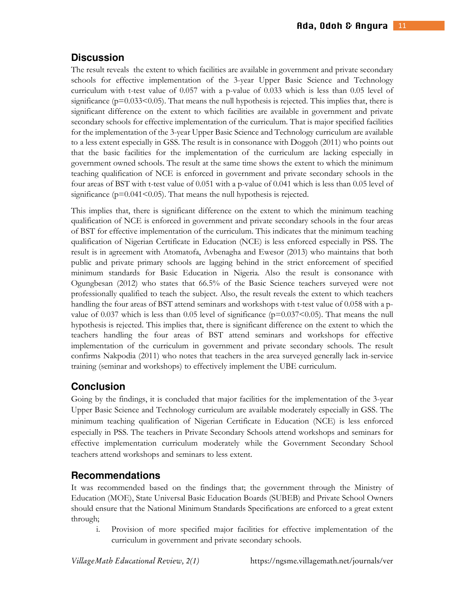## **Discussion**

The result reveals the extent to which facilities are available in government and private secondary schools for effective implementation of the 3-year Upper Basic Science and Technology curriculum with t-test value of 0.057 with a p-value of 0.033 which is less than 0.05 level of significance ( $p=0.033<0.05$ ). That means the null hypothesis is rejected. This implies that, there is significant difference on the extent to which facilities are available in government and private secondary schools for effective implementation of the curriculum. That is major specified facilities for the implementation of the 3-year Upper Basic Science and Technology curriculum are available to a less extent especially in GSS. The result is in consonance with Doggoh (2011) who points out that the basic facilities for the implementation of the curriculum are lacking especially in government owned schools. The result at the same time shows the extent to which the minimum teaching qualification of NCE is enforced in government and private secondary schools in the four areas of BST with t-test value of 0.051 with a p-value of 0.041 which is less than 0.05 level of significance ( $p=0.041<0.05$ ). That means the null hypothesis is rejected.

This implies that, there is significant difference on the extent to which the minimum teaching qualification of NCE is enforced in government and private secondary schools in the four areas of BST for effective implementation of the curriculum. This indicates that the minimum teaching qualification of Nigerian Certificate in Education (NCE) is less enforced especially in PSS. The result is in agreement with Atomatofa, Avbenagha and Ewesor (2013) who maintains that both public and private primary schools are lagging behind in the strict enforcement of specified minimum standards for Basic Education in Nigeria. Also the result is consonance with Ogungbesan (2012) who states that 66.5% of the Basic Science teachers surveyed were not professionally qualified to teach the subject. Also, the result reveals the extent to which teachers handling the four areas of BST attend seminars and workshops with t-test value of 0.058 with a pvalue of 0.037 which is less than 0.05 level of significance ( $p=0.037<0.05$ ). That means the null hypothesis is rejected. This implies that, there is significant difference on the extent to which the teachers handling the four areas of BST attend seminars and workshops for effective implementation of the curriculum in government and private secondary schools. The result confirms Nakpodia (2011) who notes that teachers in the area surveyed generally lack in-service training (seminar and workshops) to effectively implement the UBE curriculum.

#### **Conclusion**

Going by the findings, it is concluded that major facilities for the implementation of the 3-year Upper Basic Science and Technology curriculum are available moderately especially in GSS. The minimum teaching qualification of Nigerian Certificate in Education (NCE) is less enforced especially in PSS. The teachers in Private Secondary Schools attend workshops and seminars for effective implementation curriculum moderately while the Government Secondary School teachers attend workshops and seminars to less extent.

## **Recommendations**

It was recommended based on the findings that; the government through the Ministry of Education (MOE), State Universal Basic Education Boards (SUBEB) and Private School Owners should ensure that the National Minimum Standards Specifications are enforced to a great extent through;

i. Provision of more specified major facilities for effective implementation of the curriculum in government and private secondary schools.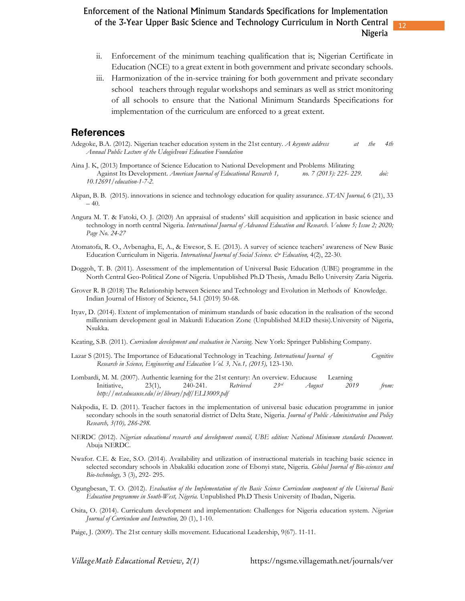ii. Enforcement of the minimum teaching qualification that is; Nigerian Certificate in Education (NCE) to a great extent in both government and private secondary schools.

12

iii. Harmonization of the in-service training for both government and private secondary school teachers through regular workshops and seminars as well as strict monitoring of all schools to ensure that the National Minimum Standards Specifications for implementation of the curriculum are enforced to a great extent.

#### **References**

- Adegoke, B.A. (2012). Nigerian teacher education system in the 21st century. *A keynote address at the 4th 4th Annual Public Lecture of the UdogieIvowi Education Foundation*
- Aina J. K, (2013) Importance of Science Education to National Development and Problems Militating Against Its Development. *American Journal of Educational Research 1, no. 7 (2013): 225- 229. doi: 10.12691/education-1-7-2.*
- Akpan, B. B. (2015). innovations in science and technology education for quality assurance. *STAN Journal,* 6 (21), 33  $-40.$
- Angura M. T. & Fatoki, O. J. (2020) An appraisal of students' skill acquisition and application in basic science and technology in north central Nigeria. *International Journal of Advanced Education and Research. Volume 5; Issue 2; 2020; Page No. 24-27*
- Atomatofa, R. O., Avbenagha, E, A., & Ewesor, S. E. (2013). A survey of science teachers' awareness of New Basic Education Curriculum in Nigeria. *International Journal of Social Science.*  $\mathcal{E}$  Education, 4(2), 22-30.
- Doggoh, T. B. (2011). Assessment of the implementation of Universal Basic Education (UBE) programme in the North Central Geo-Political Zone of Nigeria*.* Unpublished Ph.D Thesis, Amadu Bello University Zaria Nigeria.
- Grover R. B (2018) The Relationship between Science and Technology and Evolution in Methods of Knowledge. Indian Journal of History of Science, 54.1 (2019) 50-68*.*
- Ityav, D. (2014). Extent of implementation of minimum standards of basic education in the realisation of the second millennium development goal in Makurdi Education Zone (Unpublished M.ED thesis).University of Nigeria, Nsukka.
- Keating, S.B. (2011). *Curriculum development and evaluation in Nursing*. New York: Springer Publishing Company.
- Lazar S (2015). The Importance of Educational Technology in Teaching. *International Journal of Cognitive Research in Science, Engineering and Education Vol. 3, No.1, (2015),* 123-130.
- Lombardi, M. M. (2007). Authentic learning for the 21st century: An overview. Educause Learning Initiative, 23(1), 240-241. *Retrieved 23rd August 2019 from: http://net.educause.edu/ir/library/pdf/ELI3009.pdf*
- Nakpodia, E. D. (2011). Teacher factors in the implementation of universal basic education programme in junior secondary schools in the south senatorial district of Delta State, Nigeria. *Journal of Public Administration and Policy Research, 3(10), 286-298.*
- NERDC (2012). *Nigerian educational research and development council, UBE edition: National Minimum standards Document*. Abuja NERDC.
- Nwafor. C.E. & Eze, S.O. (2014). Availability and utilization of instructional materials in teaching basic science in selected secondary schools in Abakaliki education zone of Ebonyi state, Nigeria. *Global Journal of Bio-sciences and Bio-technology,* 3 (3), 292- 295.
- Ogungbesan, T. O. (2012). *Evaluation of the Implementation of the Basic Science Curriculum component of the Universal Basic Education programme in South-West, Nigeria.* Unpublished Ph.D Thesis University of Ibadan, Nigeria.
- Osita, O. (2014). Curriculum development and implementation: Challenges for Nigeria education system. *Nigerian Journal of Curriculum and Instruction,* 20 (1), 1-10.
- Paige, J. (2009). The 21st century skills movement. Educational Leadership, 9(67). 11-11.